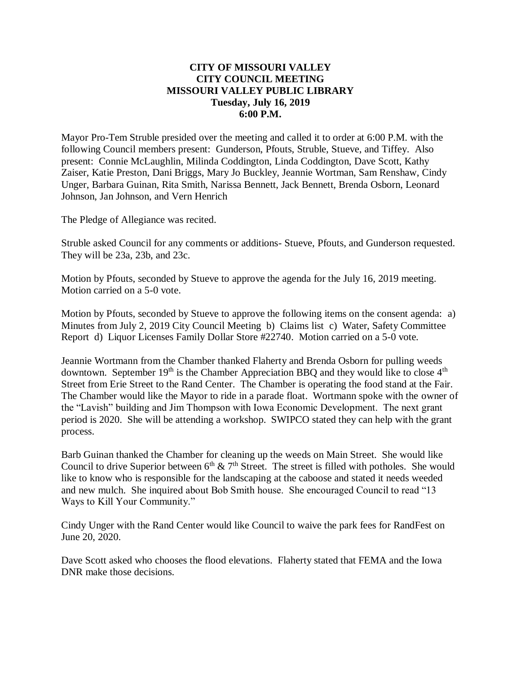# **CITY OF MISSOURI VALLEY CITY COUNCIL MEETING MISSOURI VALLEY PUBLIC LIBRARY Tuesday, July 16, 2019 6:00 P.M.**

Mayor Pro-Tem Struble presided over the meeting and called it to order at 6:00 P.M. with the following Council members present: Gunderson, Pfouts, Struble, Stueve, and Tiffey. Also present: Connie McLaughlin, Milinda Coddington, Linda Coddington, Dave Scott, Kathy Zaiser, Katie Preston, Dani Briggs, Mary Jo Buckley, Jeannie Wortman, Sam Renshaw, Cindy Unger, Barbara Guinan, Rita Smith, Narissa Bennett, Jack Bennett, Brenda Osborn, Leonard Johnson, Jan Johnson, and Vern Henrich

The Pledge of Allegiance was recited.

Struble asked Council for any comments or additions- Stueve, Pfouts, and Gunderson requested. They will be 23a, 23b, and 23c.

Motion by Pfouts, seconded by Stueve to approve the agenda for the July 16, 2019 meeting. Motion carried on a 5-0 vote.

Motion by Pfouts, seconded by Stueve to approve the following items on the consent agenda: a) Minutes from July 2, 2019 City Council Meeting b) Claims list c) Water, Safety Committee Report d) Liquor Licenses Family Dollar Store #22740. Motion carried on a 5-0 vote.

Jeannie Wortmann from the Chamber thanked Flaherty and Brenda Osborn for pulling weeds downtown. September  $19<sup>th</sup>$  is the Chamber Appreciation BBQ and they would like to close  $4<sup>th</sup>$ Street from Erie Street to the Rand Center. The Chamber is operating the food stand at the Fair. The Chamber would like the Mayor to ride in a parade float. Wortmann spoke with the owner of the "Lavish" building and Jim Thompson with Iowa Economic Development. The next grant period is 2020. She will be attending a workshop. SWIPCO stated they can help with the grant process.

Barb Guinan thanked the Chamber for cleaning up the weeds on Main Street. She would like Council to drive Superior between  $6<sup>th</sup> \& 7<sup>th</sup>$  Street. The street is filled with potholes. She would like to know who is responsible for the landscaping at the caboose and stated it needs weeded and new mulch. She inquired about Bob Smith house. She encouraged Council to read "13 Ways to Kill Your Community."

Cindy Unger with the Rand Center would like Council to waive the park fees for RandFest on June 20, 2020.

Dave Scott asked who chooses the flood elevations. Flaherty stated that FEMA and the Iowa DNR make those decisions.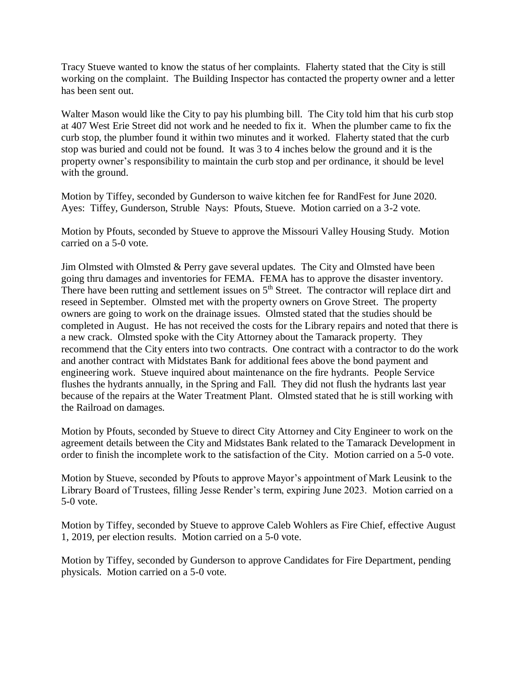Tracy Stueve wanted to know the status of her complaints. Flaherty stated that the City is still working on the complaint. The Building Inspector has contacted the property owner and a letter has been sent out.

Walter Mason would like the City to pay his plumbing bill. The City told him that his curb stop at 407 West Erie Street did not work and he needed to fix it. When the plumber came to fix the curb stop, the plumber found it within two minutes and it worked. Flaherty stated that the curb stop was buried and could not be found. It was 3 to 4 inches below the ground and it is the property owner's responsibility to maintain the curb stop and per ordinance, it should be level with the ground.

Motion by Tiffey, seconded by Gunderson to waive kitchen fee for RandFest for June 2020. Ayes: Tiffey, Gunderson, Struble Nays: Pfouts, Stueve. Motion carried on a 3-2 vote.

Motion by Pfouts, seconded by Stueve to approve the Missouri Valley Housing Study. Motion carried on a 5-0 vote.

Jim Olmsted with Olmsted & Perry gave several updates. The City and Olmsted have been going thru damages and inventories for FEMA. FEMA has to approve the disaster inventory. There have been rutting and settlement issues on  $5<sup>th</sup>$  Street. The contractor will replace dirt and reseed in September. Olmsted met with the property owners on Grove Street. The property owners are going to work on the drainage issues. Olmsted stated that the studies should be completed in August. He has not received the costs for the Library repairs and noted that there is a new crack. Olmsted spoke with the City Attorney about the Tamarack property. They recommend that the City enters into two contracts. One contract with a contractor to do the work and another contract with Midstates Bank for additional fees above the bond payment and engineering work. Stueve inquired about maintenance on the fire hydrants. People Service flushes the hydrants annually, in the Spring and Fall. They did not flush the hydrants last year because of the repairs at the Water Treatment Plant. Olmsted stated that he is still working with the Railroad on damages.

Motion by Pfouts, seconded by Stueve to direct City Attorney and City Engineer to work on the agreement details between the City and Midstates Bank related to the Tamarack Development in order to finish the incomplete work to the satisfaction of the City. Motion carried on a 5-0 vote.

Motion by Stueve, seconded by Pfouts to approve Mayor's appointment of Mark Leusink to the Library Board of Trustees, filling Jesse Render's term, expiring June 2023. Motion carried on a 5-0 vote.

Motion by Tiffey, seconded by Stueve to approve Caleb Wohlers as Fire Chief, effective August 1, 2019, per election results. Motion carried on a 5-0 vote.

Motion by Tiffey, seconded by Gunderson to approve Candidates for Fire Department, pending physicals. Motion carried on a 5-0 vote.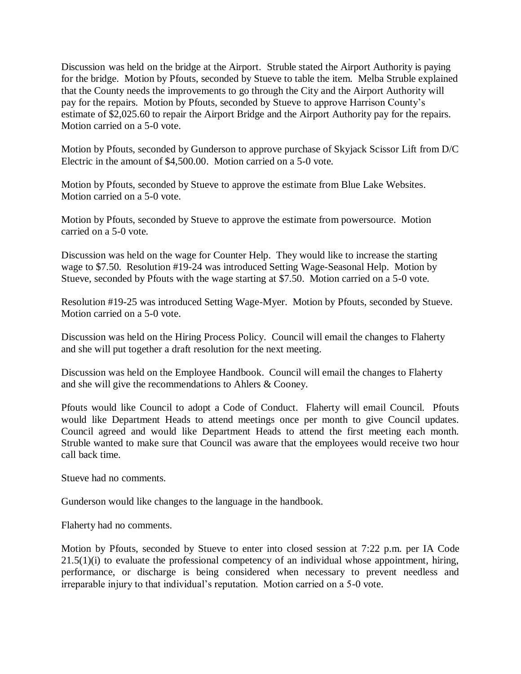Discussion was held on the bridge at the Airport. Struble stated the Airport Authority is paying for the bridge. Motion by Pfouts, seconded by Stueve to table the item. Melba Struble explained that the County needs the improvements to go through the City and the Airport Authority will pay for the repairs. Motion by Pfouts, seconded by Stueve to approve Harrison County's estimate of \$2,025.60 to repair the Airport Bridge and the Airport Authority pay for the repairs. Motion carried on a 5-0 vote.

Motion by Pfouts, seconded by Gunderson to approve purchase of Skyjack Scissor Lift from D/C Electric in the amount of \$4,500.00. Motion carried on a 5-0 vote.

Motion by Pfouts, seconded by Stueve to approve the estimate from Blue Lake Websites. Motion carried on a 5-0 vote.

Motion by Pfouts, seconded by Stueve to approve the estimate from powersource. Motion carried on a 5-0 vote.

Discussion was held on the wage for Counter Help. They would like to increase the starting wage to \$7.50. Resolution #19-24 was introduced Setting Wage-Seasonal Help. Motion by Stueve, seconded by Pfouts with the wage starting at \$7.50. Motion carried on a 5-0 vote.

Resolution #19-25 was introduced Setting Wage-Myer. Motion by Pfouts, seconded by Stueve. Motion carried on a 5-0 vote.

Discussion was held on the Hiring Process Policy. Council will email the changes to Flaherty and she will put together a draft resolution for the next meeting.

Discussion was held on the Employee Handbook. Council will email the changes to Flaherty and she will give the recommendations to Ahlers & Cooney.

Pfouts would like Council to adopt a Code of Conduct. Flaherty will email Council. Pfouts would like Department Heads to attend meetings once per month to give Council updates. Council agreed and would like Department Heads to attend the first meeting each month. Struble wanted to make sure that Council was aware that the employees would receive two hour call back time.

Stueve had no comments.

Gunderson would like changes to the language in the handbook.

Flaherty had no comments.

Motion by Pfouts, seconded by Stueve to enter into closed session at 7:22 p.m. per IA Code  $21.5(1)(i)$  to evaluate the professional competency of an individual whose appointment, hiring, performance, or discharge is being considered when necessary to prevent needless and irreparable injury to that individual's reputation. Motion carried on a 5-0 vote.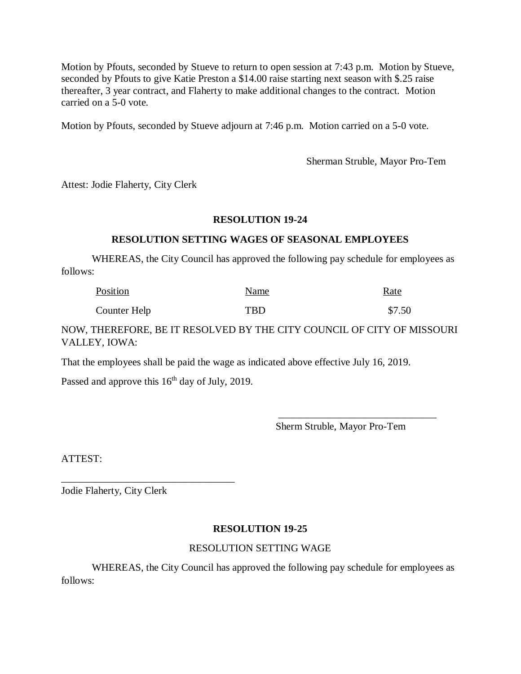Motion by Pfouts, seconded by Stueve to return to open session at 7:43 p.m. Motion by Stueve, seconded by Pfouts to give Katie Preston a \$14.00 raise starting next season with \$.25 raise thereafter, 3 year contract, and Flaherty to make additional changes to the contract. Motion carried on a 5-0 vote.

Motion by Pfouts, seconded by Stueve adjourn at 7:46 p.m. Motion carried on a 5-0 vote.

Sherman Struble, Mayor Pro-Tem

Attest: Jodie Flaherty, City Clerk

### **RESOLUTION 19-24**

### **RESOLUTION SETTING WAGES OF SEASONAL EMPLOYEES**

WHEREAS, the City Council has approved the following pay schedule for employees as follows:

| Position     | Name       | <u>Rate</u> |
|--------------|------------|-------------|
| Counter Help | <b>TBD</b> | \$7.50      |

NOW, THEREFORE, BE IT RESOLVED BY THE CITY COUNCIL OF CITY OF MISSOURI VALLEY, IOWA:

That the employees shall be paid the wage as indicated above effective July 16, 2019.

Passed and approve this 16<sup>th</sup> day of July, 2019.

\_\_\_\_\_\_\_\_\_\_\_\_\_\_\_\_\_\_\_\_\_\_\_\_\_\_\_\_\_\_\_\_\_\_

 \_\_\_\_\_\_\_\_\_\_\_\_\_\_\_\_\_\_\_\_\_\_\_\_\_\_\_\_\_\_\_ Sherm Struble, Mayor Pro-Tem

ATTEST:

Jodie Flaherty, City Clerk

## **RESOLUTION 19-25**

## RESOLUTION SETTING WAGE

WHEREAS, the City Council has approved the following pay schedule for employees as follows: